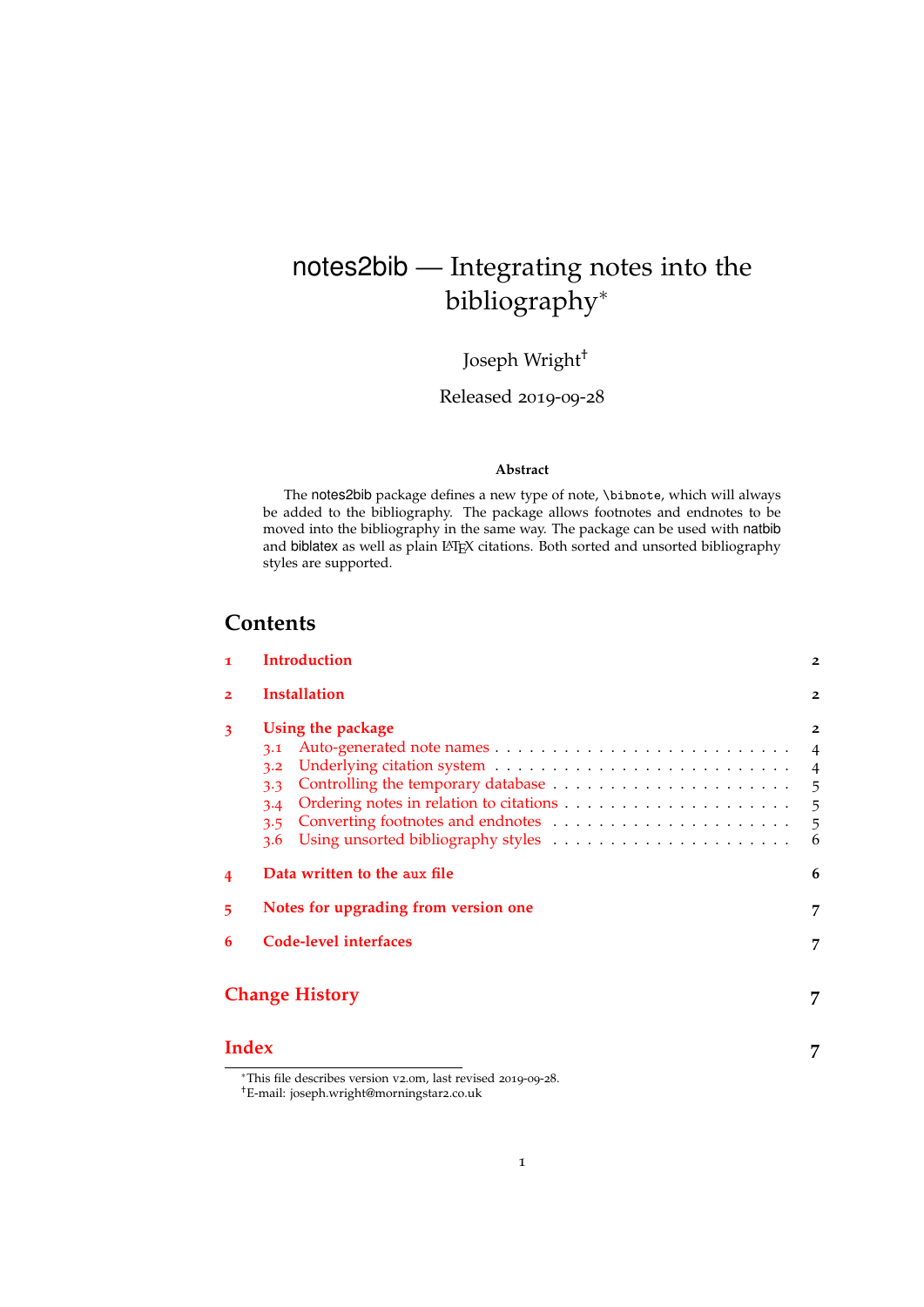# <span id="page-0-1"></span><span id="page-0-0"></span>notes2bib — Integrating notes into the bibliography<sup>∗</sup>

Joseph Wright†

Released 2019-09-28

#### **Abstract**

The notes2bib package defines a new type of note, \bibnote, which will always be added to the bibliography. The package allows footnotes and endnotes to be moved into the bibliography in the same way. The package can be used with natbib and biblatex as well as plain LATEX citations. Both sorted and unsorted bibliography styles are supported.

# **Contents**

| $\mathbf 1$    | <b>Introduction</b>                                         | $\overline{2}$                   |
|----------------|-------------------------------------------------------------|----------------------------------|
| $\overline{2}$ | <b>Installation</b>                                         | $\overline{2}$                   |
| 3              | Using the package<br>3.1<br>3.2<br>3.3<br>3.4<br>3.5<br>3.6 | $\overline{2}$<br>$\overline{4}$ |
| 4              | Data written to the aux file                                | 6                                |
| 5              | Notes for upgrading from version one                        | 7                                |
| 6              | Code-level interfaces                                       | 7                                |
|                | <b>Change History</b>                                       | 7                                |
|                |                                                             |                                  |

### **[Index](#page-6-3) 7**

<sup>∗</sup>This file describes version v2.0m, last revised 2019-09-28.

<sup>†</sup>E-mail: joseph.wright@morningstar2.co.uk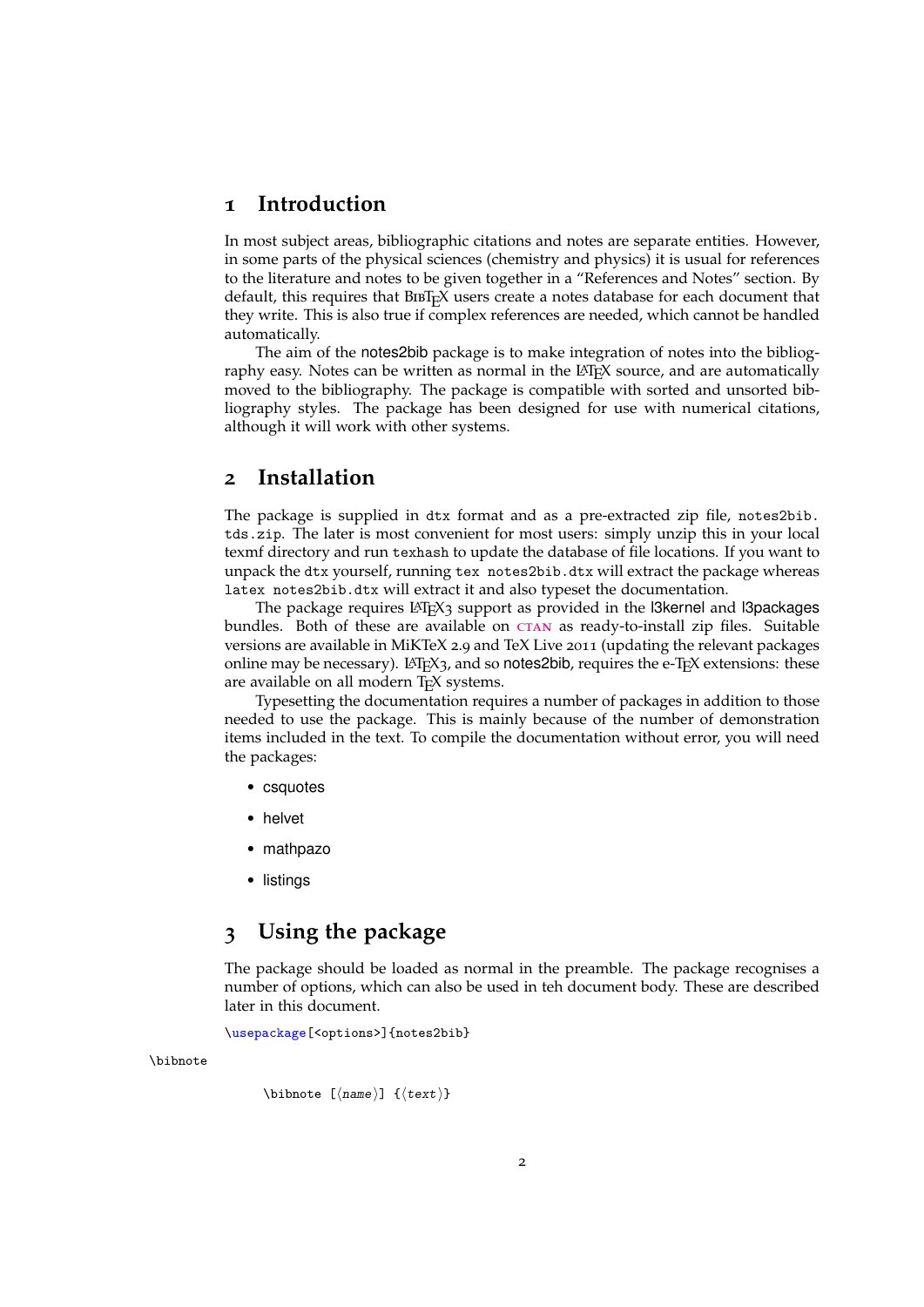# <span id="page-1-3"></span><span id="page-1-0"></span>**1 Introduction**

In most subject areas, bibliographic citations and notes are separate entities. However, in some parts of the physical sciences (chemistry and physics) it is usual for references to the literature and notes to be given together in a "References and Notes" section. By default, this requires that BIBT<sub>E</sub>X users create a notes database for each document that they write. This is also true if complex references are needed, which cannot be handled automatically.

The aim of the notes2bib package is to make integration of notes into the bibliography easy. Notes can be written as normal in the LAT<sub>E</sub>X source, and are automatically moved to the bibliography. The package is compatible with sorted and unsorted bibliography styles. The package has been designed for use with numerical citations, although it will work with other systems.

### <span id="page-1-1"></span>**2 Installation**

The package is supplied in dtx format and as a pre-extracted zip file, notes2bib. tds.zip. The later is most convenient for most users: simply unzip this in your local texmf directory and run texhash to update the database of file locations. If you want to unpack the dtx yourself, running tex notes2bib.dtx will extract the package whereas latex notes2bib.dtx will extract it and also typeset the documentation.

The package requires  $\mathbb{E} T_F X_3$  support as provided in the Steernel and Stepackages bundles. Both of these are available on CTAN as ready-to-install zip files. Suitable versions are available in MiKTeX 2.9 and TeX Live 2011 (updating the relevant packages online may be necessary).  $LAT$ <sub>E</sub>X<sub>3</sub>, and so notes2bib, requires the e-T<sub>E</sub>X extensions: these are available on all modern T<sub>E</sub>X systems.

Typesetting the documentation requires a number of packages in addition to those needed to use the package. This is mainly because of the number of demonstration items included in the text. To compile the documentation without error, you will need the packages:

- csquotes
- helvet
- mathpazo
- listings

# <span id="page-1-2"></span>**3 Using the package**

The package should be loaded as normal in the preamble. The package recognises a number of options, which can also be used in teh document body. These are described later in this document.

<span id="page-1-4"></span>\usepackage[<options>]{notes2bib}

\bibnote

```
\bibnote [\langlename\rangle] {\langletext\rangle}
```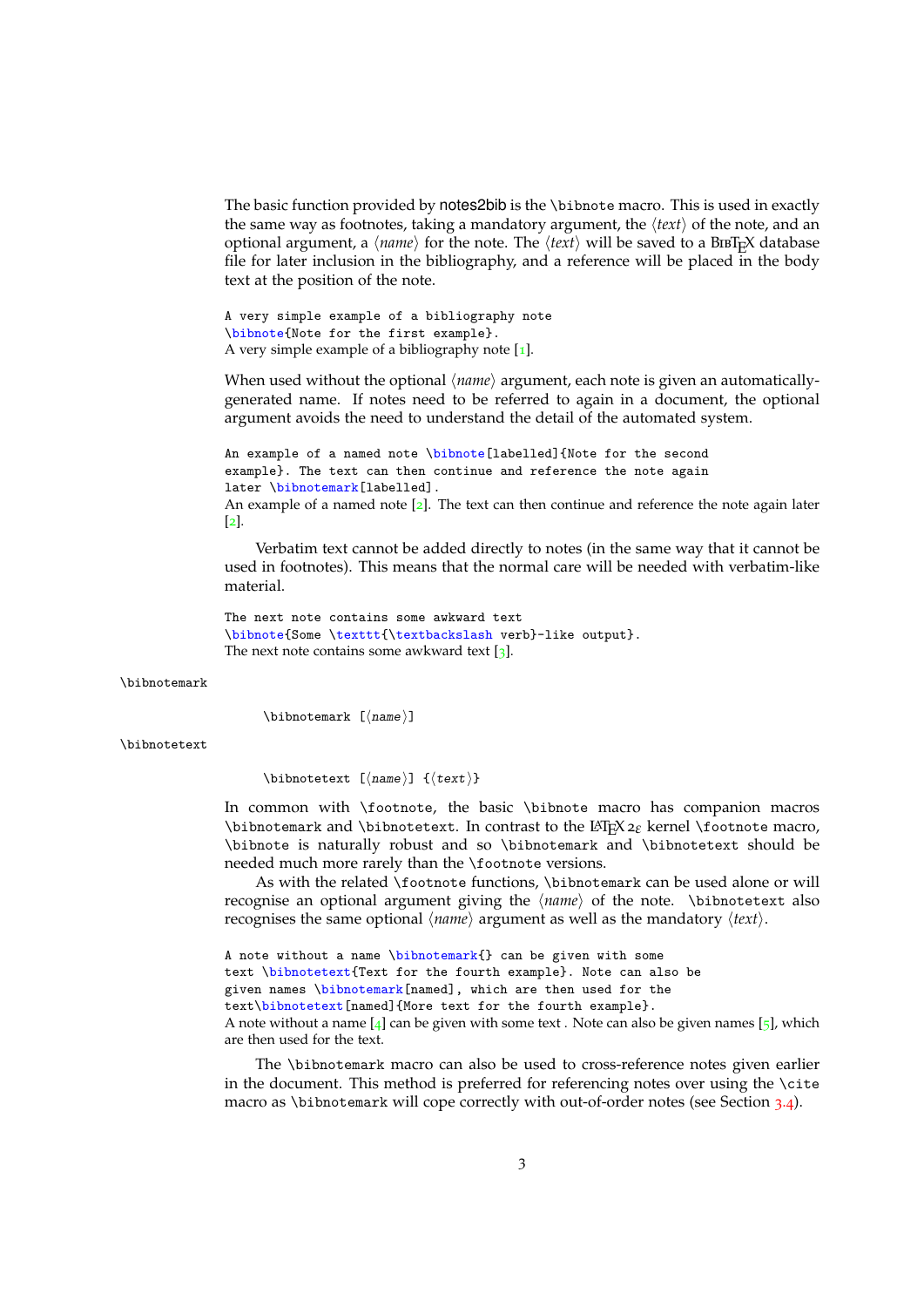The basic function provided by notes2bib is the \bibnote macro. This is used in exactly the same way as footnotes, taking a mandatory argument, the  $\langle text \rangle$  of the note, and an optional argument, a  $\langle name \rangle$  for the note. The  $\langle text \rangle$  will be saved to a BiBT<sub>E</sub>X database file for later inclusion in the bibliography, and a reference will be placed in the body text at the position of the note.

A very simple example of a bibliography note \bibnote{Note for the first example}. A very simple example of a bibliography note  $[1]$  $[1]$  $[1]$ .

When used without the optional  $\langle name \rangle$  argument, each note is given an automaticallygenerated name. If notes need to be referred to again in a document, the optional argument avoids the need to understand the detail of the automated system.

```
An example of a named note \bibnote[labelled]{Note for the second
example}. The text can then continue and reference the note again
later \bibnotemark[labelled].
An example of a named note 2]. The text can then continue and reference the note again later
2 \rceil.
```
Verbatim text cannot be added directly to notes (in the same way that it cannot be used in footnotes). This means that the normal care will be needed with verbatim-like material.

```
The next note contains some awkward text
\bibnote{Some \texttt{\textbackslash verb}-like output}.
3].
```
\bibnotemark

<span id="page-2-1"></span><span id="page-2-0"></span> $\blacksquare$ \bibnotemark  $[\langle name \rangle]$ 

\bibnotetext

\bibnotetext [ $\langle$ name}] { $\langle$ text}}

In common with \footnote, the basic \bibnote macro has companion macros \bibnotemark and \bibnotetext. In contrast to the LATEX2*<sup>ε</sup>* kernel \footnote macro, \bibnote is naturally robust and so \bibnotemark and \bibnotetext should be needed much more rarely than the \footnote versions.

As with the related \footnote functions, \bibnotemark can be used alone or will recognise an optional argument giving the  $\langle name \rangle$  of the note.  $\langle bibnotetext$  also recognises the same optional  $\langle name \rangle$  argument as well as the mandatory  $\langle text \rangle$ .

A note without a name \bibnotemark{} can be given with some text \bibnotetext{Text for the fourth example}. Note can also be given names \bibnotemark[named], which are then used for the text\bibnotetext[named]{More text for the fourth example}. A note without a name  $[4]$  $[4]$  $[4]$  can be given with some text . Note can also be given names  $[5]$  $[5]$  $[5]$ , which are then used for the text.

The \bibnotemark macro can also be used to cross-reference notes given earlier in the document. This method is preferred for referencing notes over using the \cite macro as \bibnotemark will cope correctly with out-of-order notes (see Section [3](#page-4-1).4).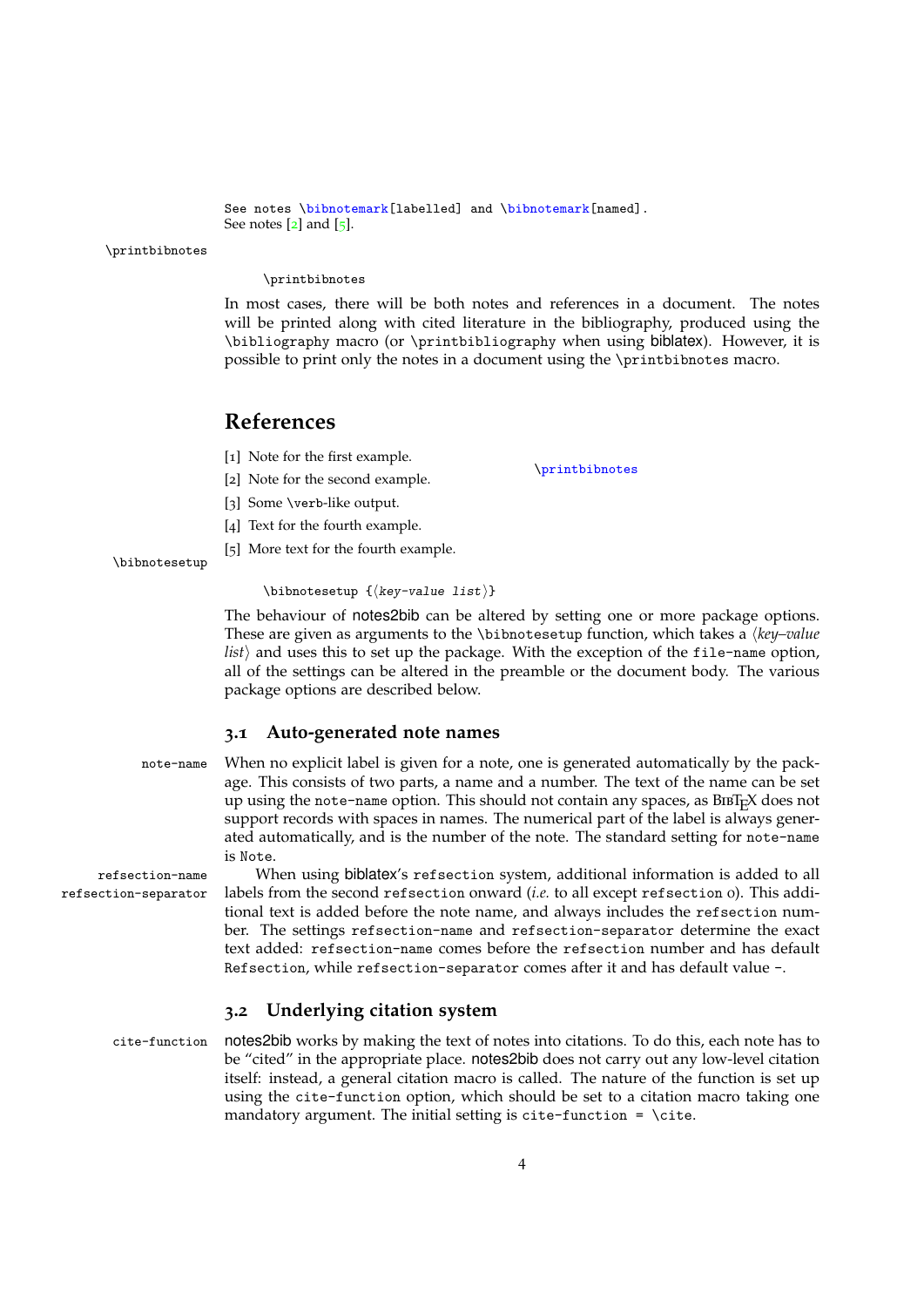```
See notes \bibnotemark[labelled] and \bibnotemark[named].
See notes 2] and 5].
```
\printbibnotes

#### <span id="page-3-7"></span>\printbibnotes

In most cases, there will be both notes and references in a document. The notes will be printed along with cited literature in the bibliography, produced using the \bibliography macro (or \printbibliography when using biblatex). However, it is possible to print only the notes in a document using the \printbibnotes macro.

\printbibnotes

### **References**

<span id="page-3-2"></span>[1] Note for the first example.

- <span id="page-3-3"></span>[2] Note for the second example.
- <span id="page-3-4"></span>[3] Some \verb-like output.
- <span id="page-3-5"></span>[4] Text for the fourth example.
- <span id="page-3-8"></span><span id="page-3-6"></span>[5] More text for the fourth example.

#### $\blacksquare$ \bibnotesetup  $\{\langle key-value\ list\rangle\}$

The behaviour of notes2bib can be altered by setting one or more package options. These are given as arguments to the \bibnotesetup function, which takes a *\key-value list*) and uses this to set up the package. With the exception of the file-name option, all of the settings can be altered in the preamble or the document body. The various package options are described below.

#### <span id="page-3-10"></span><span id="page-3-0"></span>**3.1 Auto-generated note names**

note-name When no explicit label is given for a note, one is generated automatically by the package. This consists of two parts, a name and a number. The text of the name can be set up using the note-name option. This should not contain any spaces, as  $BIBT<sub>F</sub>X$  does not support records with spaces in names. The numerical part of the label is always generated automatically, and is the number of the note. The standard setting for note-name is Note.

refsection-name When using biblatex's refsection system, additional information is added to all refsection-separator labels from the second refsection onward (*i.e.* to all except refsection 0). This additional text is added before the note name, and always includes the refsection number. The settings refsection-name and refsection-separator determine the exact text added: refsection-name comes before the refsection number and has default Refsection, while refsection-separator comes after it and has default value -.

#### <span id="page-3-11"></span><span id="page-3-9"></span><span id="page-3-1"></span>**3.2 Underlying citation system**

cite-function notes2bib works by making the text of notes into citations. To do this, each note has to be "cited" in the appropriate place. notes2bib does not carry out any low-level citation itself: instead, a general citation macro is called. The nature of the function is set up using the cite-function option, which should be set to a citation macro taking one mandatory argument. The initial setting is cite-function =  $\ct{cte}$ .

\bibnotesetup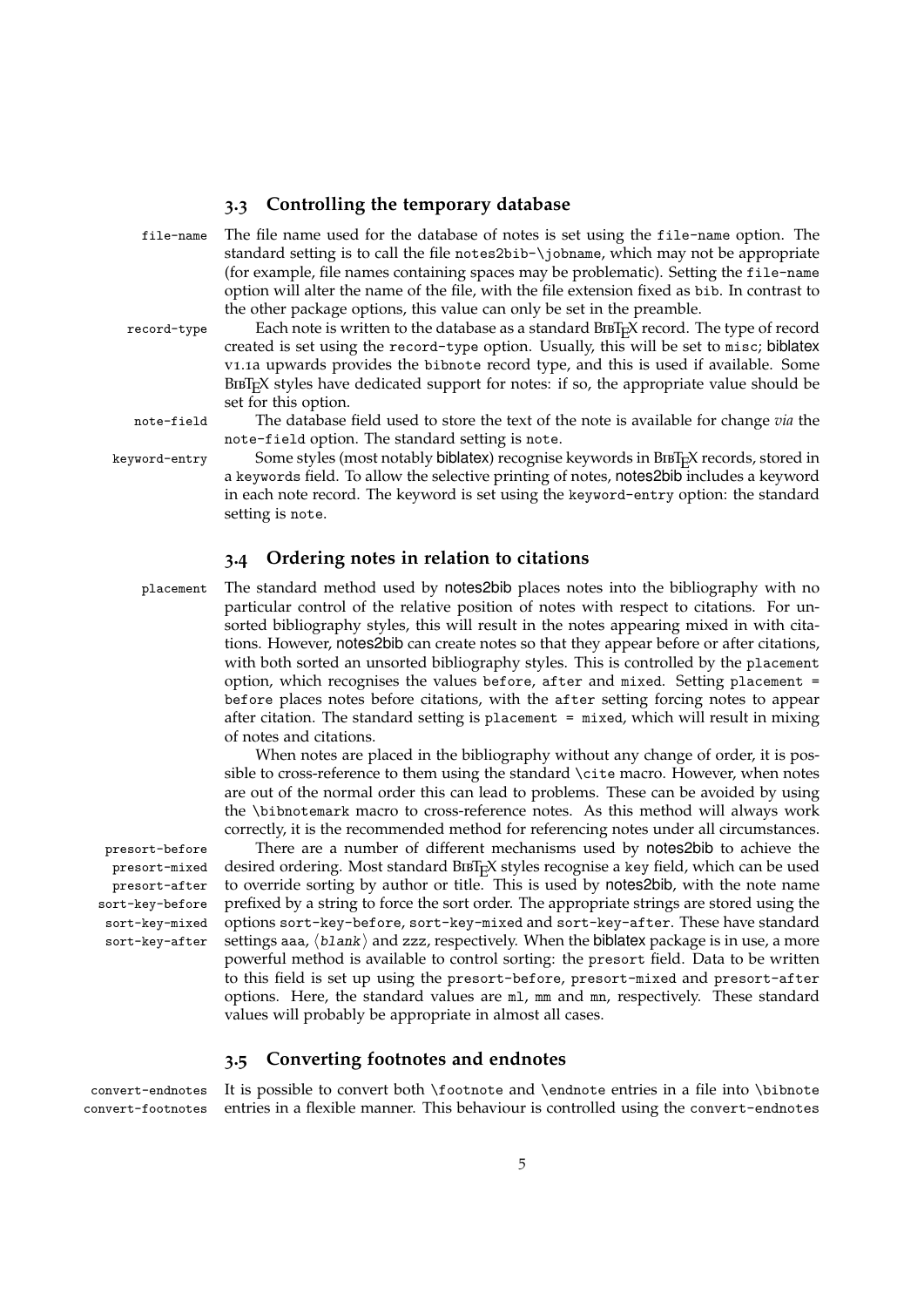### <span id="page-4-9"></span><span id="page-4-5"></span><span id="page-4-0"></span>**3.3 Controlling the temporary database**

file-name The file name used for the database of notes is set using the file-name option. The standard setting is to call the file notes2bib-\jobname, which may not be appropriate (for example, file names containing spaces may be problematic). Setting the file-name option will alter the name of the file, with the file extension fixed as bib. In contrast to the other package options, this value can only be set in the preamble.

record-type Each note is written to the database as a standard BIBT<sub>E</sub>X record. The type of record created is set using the record-type option. Usually, this will be set to misc; biblatex v1.1a upwards provides the bibnote record type, and this is used if available. Some  $BIBT<sub>F</sub>X$  styles have dedicated support for notes: if so, the appropriate value should be set for this option.

<span id="page-4-7"></span>note-field The database field used to store the text of the note is available for change *via* the note-field option. The standard setting is note.

keyword-entry Some styles (most notably biblatex) recognise keywords in BIBT<sub>R</sub>X records, stored in a keywords field. To allow the selective printing of notes, notes2bib includes a keyword in each note record. The keyword is set using the keyword-entry option: the standard setting is note.

#### <span id="page-4-6"></span><span id="page-4-4"></span><span id="page-4-1"></span>**3.4 Ordering notes in relation to citations**

placement The standard method used by notes2bib places notes into the bibliography with no particular control of the relative position of notes with respect to citations. For unsorted bibliography styles, this will result in the notes appearing mixed in with citations. However, notes2bib can create notes so that they appear before or after citations, with both sorted an unsorted bibliography styles. This is controlled by the placement option, which recognises the values before, after and mixed. Setting placement = before places notes before citations, with the after setting forcing notes to appear after citation. The standard setting is placement = mixed, which will result in mixing of notes and citations.

> <span id="page-4-8"></span>When notes are placed in the bibliography without any change of order, it is possible to cross-reference to them using the standard \cite macro. However, when notes are out of the normal order this can lead to problems. These can be avoided by using the \bibnotemark macro to cross-reference notes. As this method will always work correctly, it is the recommended method for referencing notes under all circumstances.

presort-mixed presort-after sort-key-before sort-key-mixed sort-key-after

presort-before There are a number of different mechanisms used by notes2bib to achieve the desired ordering. Most standard  $BIBT<sub>F</sub>X$  styles recognise a key field, which can be used to override sorting by author or title. This is used by notes2bib, with the note name prefixed by a string to force the sort order. The appropriate strings are stored using the options sort-key-before, sort-key-mixed and sort-key-after. These have standard settings aaa,  $\langle$ blank $\rangle$  and zzz, respectively. When the biblatex package is in use, a more powerful method is available to control sorting: the presort field. Data to be written to this field is set up using the presort-before, presort-mixed and presort-after options. Here, the standard values are ml, mm and mn, respectively. These standard values will probably be appropriate in almost all cases.

### <span id="page-4-3"></span><span id="page-4-2"></span>**3.5 Converting footnotes and endnotes**

convert-endnotes It is possible to convert both \footnote and \endnote entries in a file into \bibnote convert-footnotes entries in a flexible manner. This behaviour is controlled using the convert-endnotes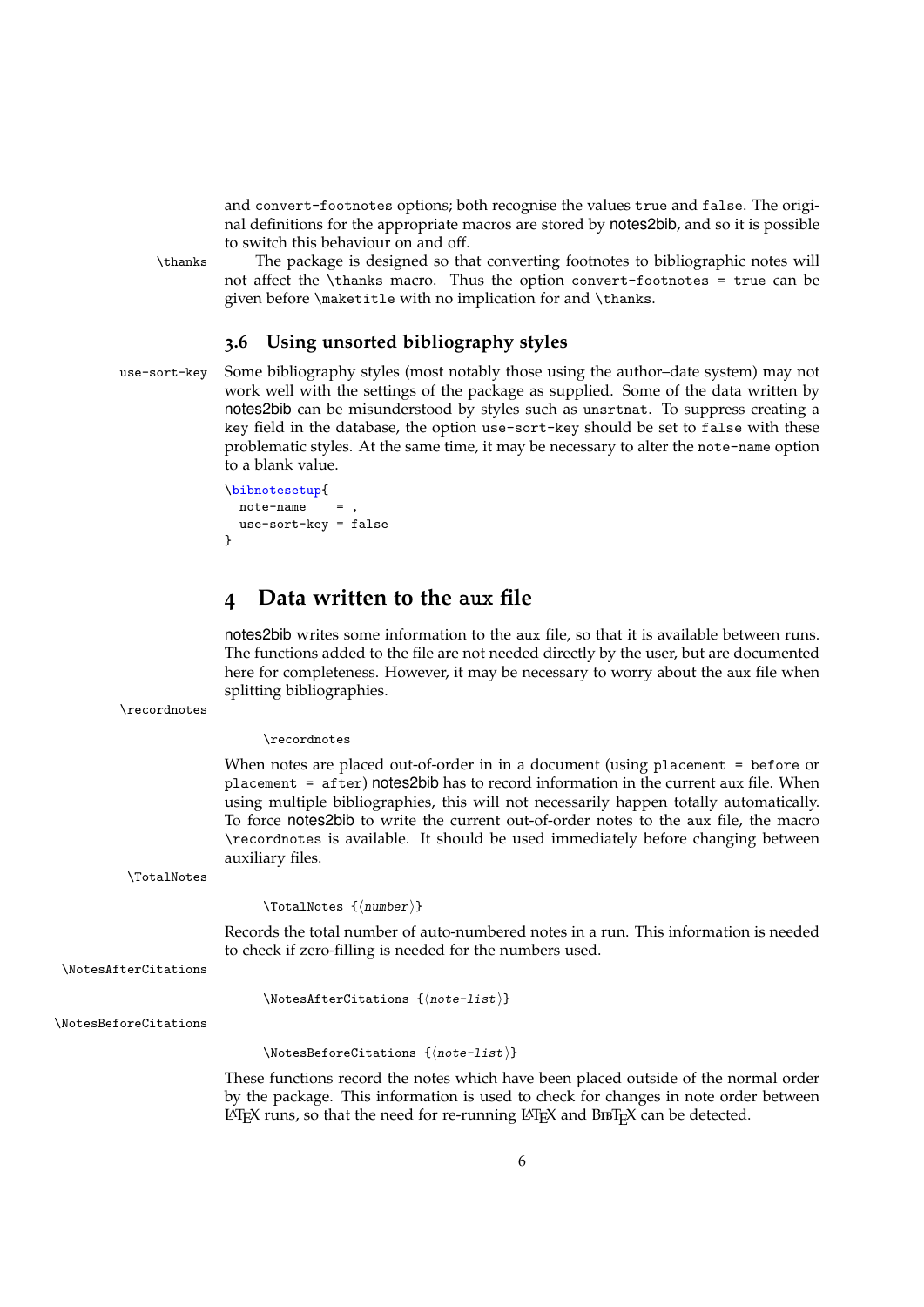<span id="page-5-4"></span><span id="page-5-2"></span>and convert-footnotes options; both recognise the values true and false. The original definitions for the appropriate macros are stored by notes2bib, and so it is possible to switch this behaviour on and off.

\thanks The package is designed so that converting footnotes to bibliographic notes will not affect the \thanks macro. Thus the option convert-footnotes = true can be given before \maketitle with no implication for and \thanks.

#### <span id="page-5-6"></span><span id="page-5-0"></span>**3.6 Using unsorted bibliography styles**

use-sort-key Some bibliography styles (most notably those using the author–date system) may not work well with the settings of the package as supplied. Some of the data written by notes2bib can be misunderstood by styles such as unsrtnat. To suppress creating a key field in the database, the option use-sort-key should be set to false with these problematic styles. At the same time, it may be necessary to alter the note-name option to a blank value.

```
\bibnotesetup{
 not = -nameuse-sort-key = false
}
```
# <span id="page-5-1"></span>**4 Data written to the aux file**

notes2bib writes some information to the aux file, so that it is available between runs. The functions added to the file are not needed directly by the user, but are documented here for completeness. However, it may be necessary to worry about the aux file when splitting bibliographies.

```
\recordnotes
```
<span id="page-5-7"></span>\recordnotes

When notes are placed out-of-order in in a document (using placement = before or placement = after) notes2bib has to record information in the current aux file. When using multiple bibliographies, this will not necessarily happen totally automatically. To force notes2bib to write the current out-of-order notes to the aux file, the macro \recordnotes is available. It should be used immediately before changing between auxiliary files.

\TotalNotes

<span id="page-5-8"></span> $\{\text{number}\}\$ 

Records the total number of auto-numbered notes in a run. This information is needed to check if zero-filling is needed for the numbers used.

\NotesAfterCitations

<span id="page-5-5"></span><span id="page-5-3"></span> $\{\text{NotesAfterCitations } {\text{note-list}}\}$ 

\NotesBeforeCitations

 $\{\text{Notes}$ eforeCitations  $\{\text{note-list}\}$ 

These functions record the notes which have been placed outside of the normal order by the package. This information is used to check for changes in note order between  $LAT$ <sub>EX</sub> runs, so that the need for re-running  $LAT$ <sub>EX</sub> and  $BIBT$ <sub>EX</sub> can be detected.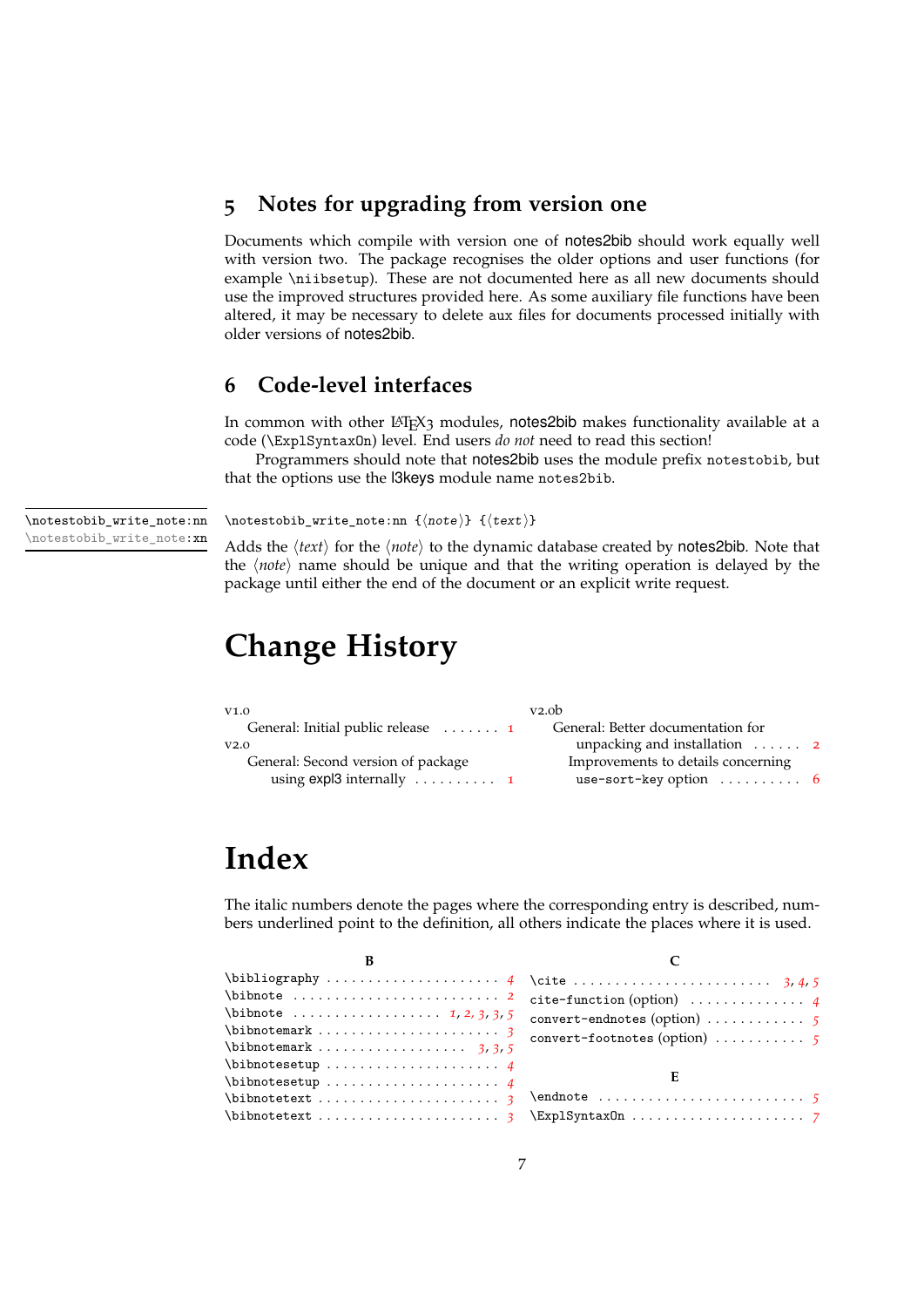# <span id="page-6-0"></span>**5 Notes for upgrading from version one**

Documents which compile with version one of notes2bib should work equally well with version two. The package recognises the older options and user functions (for example \niibsetup). These are not documented here as all new documents should use the improved structures provided here. As some auxiliary file functions have been altered, it may be necessary to delete aux files for documents processed initially with older versions of notes2bib.

# <span id="page-6-1"></span>**6 Code-level interfaces**

In common with other LATEX3 modules, notes2bib makes functionality available at a code (\ExplSyntaxOn) level. End users *do not* need to read this section!

Programmers should note that notes2bib uses the module prefix notestobib, but that the options use the l3keys module name notes2bib.

<span id="page-6-4"></span>\notestobib\_write\_note:nn \notestobib\_write\_note:xn  $\not \text{...}$  { $\langle noteb1b_write_note:nn$  { $\langle text \rangle$ }

Adds the  $\langle text \rangle$  for the  $\langle note \rangle$  to the dynamic database created by notes2bib. Note that the *(note)* name should be unique and that the writing operation is delayed by the package until either the end of the document or an explicit write request.

# <span id="page-6-2"></span>**Change History**

| V1.0                                                                                     | v2.0 <sub>b</sub>                                                                  |  |
|------------------------------------------------------------------------------------------|------------------------------------------------------------------------------------|--|
| General: Initial public release  1                                                       | General: Better documentation for                                                  |  |
| V2.0                                                                                     | unpacking and installation $\dots$ 2                                               |  |
| General: Second version of package<br>using $exp13$ internally $\dots \dots \dots \dots$ | Improvements to details concerning<br>use-sort-key option $\ldots \ldots \ldots$ 6 |  |

# <span id="page-6-3"></span>**Index**

The italic numbers denote the pages where the corresponding entry is described, numbers underlined point to the definition, all others indicate the places where it is used.

| convert-endnotes (option) $\ldots \ldots \ldots$ 5  |  |
|-----------------------------------------------------|--|
|                                                     |  |
| convert-footnotes (option) $\ldots \ldots \ldots$ 5 |  |
|                                                     |  |
| Е                                                   |  |
|                                                     |  |
| $\text{ExplSyntaxOn} \dots \dots \dots \dots \dots$ |  |
|                                                     |  |